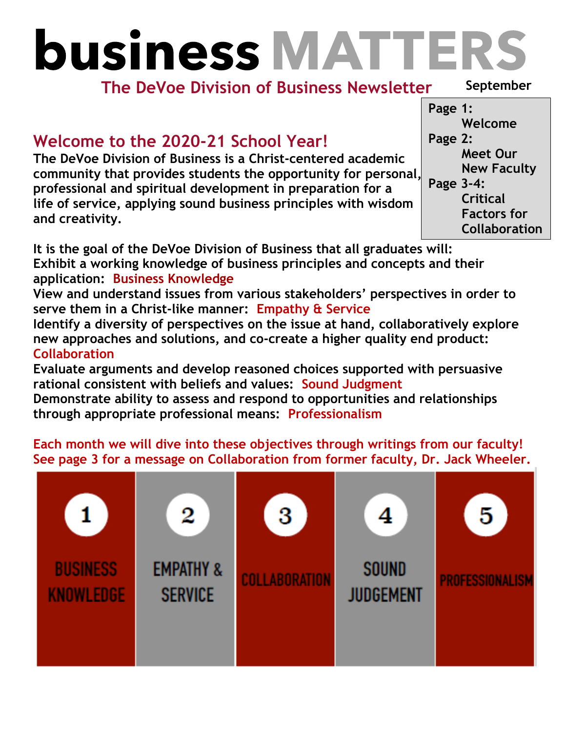# **business MATTERS**

# **The DeVoe Division of Business Newsletter**

**September** 

# **Welcome to the 2020-21 School Year!**

**The DeVoe Division of Business is a Christ-centered academic community that provides students the opportunity for personal, professional and spiritual development in preparation for a life of service, applying sound business principles with wisdom and creativity.**

**Page 1: Welcome Page 2: Meet Our New Faculty Page 3-4: Critical Factors for Collaboration**

**It is the goal of the DeVoe Division of Business that all graduates will: Exhibit a working knowledge of business principles and concepts and their application: Business Knowledge** 

**View and understand issues from various stakeholders' perspectives in order to serve them in a Christ-like manner: Empathy & Service**

**Identify a diversity of perspectives on the issue at hand, collaboratively explore new approaches and solutions, and co-create a higher quality end product: Collaboration**

**Evaluate arguments and develop reasoned choices supported with persuasive rational consistent with beliefs and values: Sound Judgment**

**Demonstrate ability to assess and respond to opportunities and relationships through appropriate professional means: Professionalism**

## **Each month we will dive into these objectives through writings from our faculty! See page 3 for a message on Collaboration from former faculty, Dr. Jack Wheeler.**

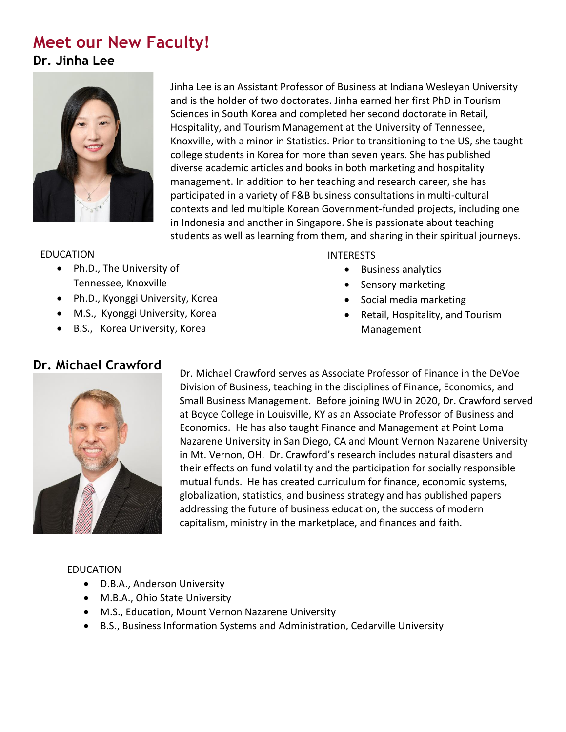# **Meet our New Faculty! Dr. Jinha Lee**



Jinha Lee is an Assistant Professor of Business at Indiana Wesleyan University and is the holder of two doctorates. Jinha earned her first PhD in Tourism Sciences in South Korea and completed her second doctorate in Retail, Hospitality, and Tourism Management at the University of Tennessee, Knoxville, with a minor in Statistics. Prior to transitioning to the US, she taught college students in Korea for more than seven years. She has published diverse academic articles and books in both marketing and hospitality management. In addition to her teaching and research career, she has participated in a variety of F&B business consultations in multi-cultural contexts and led multiple Korean Government-funded projects, including one in Indonesia and another in Singapore. She is passionate about teaching students as well as learning from them, and sharing in their spiritual journeys.

#### EDUCATION

- Ph.D., The University of Tennessee, Knoxville
- Ph.D., Kyonggi University, Korea
- M.S., Kyonggi University, Korea
- B.S., Korea University, Korea

#### INTERESTS

- Business analytics
- Sensory marketing
- Social media marketing
- Retail, Hospitality, and Tourism Management

### **Dr. Michael Crawford**



Dr. Michael Crawford serves as Associate Professor of Finance in the DeVoe Division of Business, teaching in the disciplines of Finance, Economics, and Small Business Management. Before joining IWU in 2020, Dr. Crawford served at Boyce College in Louisville, KY as an Associate Professor of Business and Economics. He has also taught Finance and Management at Point Loma Nazarene University in San Diego, CA and Mount Vernon Nazarene University in Mt. Vernon, OH. Dr. Crawford's research includes natural disasters and their effects on fund volatility and the participation for socially responsible mutual funds. He has created curriculum for finance, economic systems, globalization, statistics, and business strategy and has published papers addressing the future of business education, the success of modern capitalism, ministry in the marketplace, and finances and faith.

#### EDUCATION

- D.B.A., Anderson University
- M.B.A., Ohio State University
- M.S., Education, Mount Vernon Nazarene University
- B.S., Business Information Systems and Administration, Cedarville University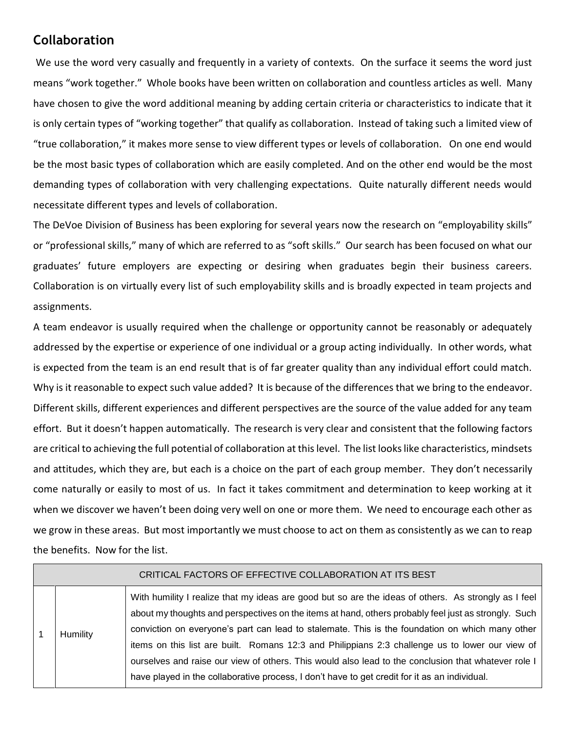## **Collaboration**

We use the word very casually and frequently in a variety of contexts. On the surface it seems the word just means "work together." Whole books have been written on collaboration and countless articles as well. Many have chosen to give the word additional meaning by adding certain criteria or characteristics to indicate that it is only certain types of "working together" that qualify as collaboration. Instead of taking such a limited view of "true collaboration," it makes more sense to view different types or levels of collaboration. On one end would be the most basic types of collaboration which are easily completed. And on the other end would be the most demanding types of collaboration with very challenging expectations. Quite naturally different needs would necessitate different types and levels of collaboration.

The DeVoe Division of Business has been exploring for several years now the research on "employability skills" or "professional skills," many of which are referred to as "soft skills." Our search has been focused on what our graduates' future employers are expecting or desiring when graduates begin their business careers. Collaboration is on virtually every list of such employability skills and is broadly expected in team projects and assignments.

A team endeavor is usually required when the challenge or opportunity cannot be reasonably or adequately addressed by the expertise or experience of one individual or a group acting individually. In other words, what is expected from the team is an end result that is of far greater quality than any individual effort could match. Why is it reasonable to expect such value added? It is because of the differences that we bring to the endeavor. Different skills, different experiences and different perspectives are the source of the value added for any team effort. But it doesn't happen automatically. The research is very clear and consistent that the following factors are critical to achieving the full potential of collaboration at this level. The list looks like characteristics, mindsets and attitudes, which they are, but each is a choice on the part of each group member. They don't necessarily come naturally or easily to most of us. In fact it takes commitment and determination to keep working at it when we discover we haven't been doing very well on one or more them. We need to encourage each other as we grow in these areas. But most importantly we must choose to act on them as consistently as we can to reap the benefits. Now for the list.

| CRITICAL FACTORS OF EFFECTIVE COLLABORATION AT ITS BEST |          |                                                                                                                                                                                                                                                                                                                                                                                                                                                                                                                                                                                                                            |  |  |
|---------------------------------------------------------|----------|----------------------------------------------------------------------------------------------------------------------------------------------------------------------------------------------------------------------------------------------------------------------------------------------------------------------------------------------------------------------------------------------------------------------------------------------------------------------------------------------------------------------------------------------------------------------------------------------------------------------------|--|--|
|                                                         | Humility | With humility I realize that my ideas are good but so are the ideas of others. As strongly as I feel<br>about my thoughts and perspectives on the items at hand, others probably feel just as strongly. Such<br>conviction on everyone's part can lead to stalemate. This is the foundation on which many other<br>items on this list are built. Romans 12:3 and Philippians 2:3 challenge us to lower our view of<br>ourselves and raise our view of others. This would also lead to the conclusion that whatever role I<br>have played in the collaborative process, I don't have to get credit for it as an individual. |  |  |